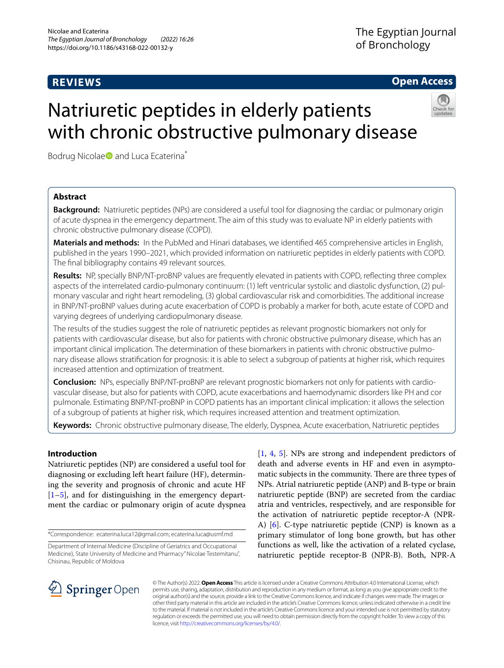# **REVIEWS**

**Open Access**

# Natriuretic peptides in elderly patients with chronic obstructive pulmonary disease



Bodrug Nicolae<sup>D</sup> and Luca Ecaterina<sup>\*</sup>

# **Abstract**

**Background:** Natriuretic peptides (NPs) are considered a useful tool for diagnosing the cardiac or pulmonary origin of acute dyspnea in the emergency department. The aim of this study was to evaluate NP in elderly patients with chronic obstructive pulmonary disease (COPD).

**Materials and methods:** In the PubMed and Hinari databases, we identifed 465 comprehensive articles in English, published in the years 1990–2021, which provided information on natriuretic peptides in elderly patients with COPD. The fnal bibliography contains 49 relevant sources.

**Results:** NP, specially BNP/NT-proBNP values are frequently elevated in patients with COPD, refecting three complex aspects of the interrelated cardio-pulmonary continuum: (1) left ventricular systolic and diastolic dysfunction, (2) pulmonary vascular and right heart remodeling, (3) global cardiovascular risk and comorbidities. The additional increase in BNP/NT-proBNP values during acute exacerbation of COPD is probably a marker for both, acute estate of COPD and varying degrees of underlying cardiopulmonary disease.

The results of the studies suggest the role of natriuretic peptides as relevant prognostic biomarkers not only for patients with cardiovascular disease, but also for patients with chronic obstructive pulmonary disease, which has an important clinical implication. The determination of these biomarkers in patients with chronic obstructive pulmonary disease allows stratifcation for prognosis: it is able to select a subgroup of patients at higher risk, which requires increased attention and optimization of treatment.

**Conclusion:** NPs, especially BNP/NT-proBNP are relevant prognostic biomarkers not only for patients with cardiovascular disease, but also for patients with COPD, acute exacerbations and haemodynamic disorders like PH and cor pulmonale. Estimating BNP/NT-proBNP in COPD patients has an important clinical implication: it allows the selection of a subgroup of patients at higher risk, which requires increased attention and treatment optimization.

**Keywords:** Chronic obstructive pulmonary disease, The elderly, Dyspnea, Acute exacerbation, Natriuretic peptides

# **Introduction**

Natriuretic peptides (NP) are considered a useful tool for diagnosing or excluding left heart failure (HF), determining the severity and prognosis of chronic and acute HF [[1–](#page-5-0)[5\]](#page-5-1), and for distinguishing in the emergency department the cardiac or pulmonary origin of acute dyspnea

\*Correspondence: ecaterina.luca12@gmail.com; ecaterina.luca@usmf.md

[[1,](#page-5-0) [4,](#page-5-2) [5\]](#page-5-1). NPs are strong and independent predictors of death and adverse events in HF and even in asymptomatic subjects in the community. There are three types of NPs. Atrial natriuretic peptide (ANP) and B-type or brain natriuretic peptide (BNP) are secreted from the cardiac atria and ventricles, respectively, and are responsible for the activation of natriuretic peptide receptor-A (NPR-A) [[6\]](#page-5-3). C-type natriuretic peptide (CNP) is known as a primary stimulator of long bone growth, but has other functions as well, like the activation of a related cyclase, natriuretic peptide receptor-B (NPR-B). Both, NPR-A



© The Author(s) 2022. **Open Access** This article is licensed under a Creative Commons Attribution 4.0 International License, which permits use, sharing, adaptation, distribution and reproduction in any medium or format, as long as you give appropriate credit to the original author(s) and the source, provide a link to the Creative Commons licence, and indicate if changes were made. The images or other third party material in this article are included in the article's Creative Commons licence, unless indicated otherwise in a credit line to the material. If material is not included in the article's Creative Commons licence and your intended use is not permitted by statutory regulation or exceeds the permitted use, you will need to obtain permission directly from the copyright holder. To view a copy of this licence, visit [http://creativecommons.org/licenses/by/4.0/.](http://creativecommons.org/licenses/by/4.0/)

Department of Internal Medicine (Discipline of Geriatrics and Occupational Medicine), State University of Medicine and Pharmacy" Nicolae Testemitanu", Chisinau, Republic of Moldova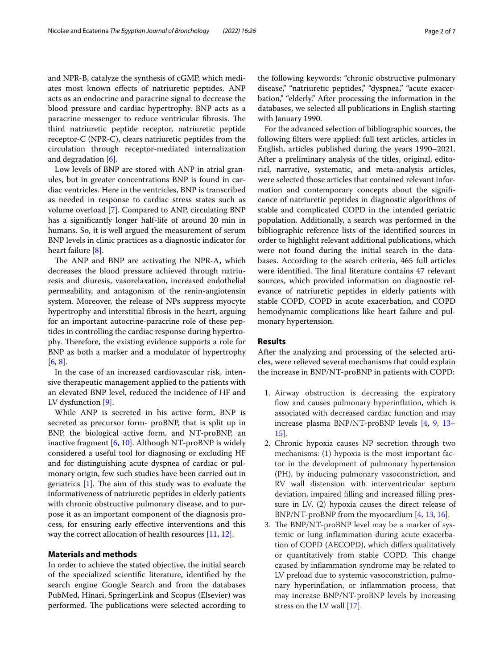and NPR-B, catalyze the synthesis of cGMP, which mediates most known efects of natriuretic peptides. ANP acts as an endocrine and paracrine signal to decrease the blood pressure and cardiac hypertrophy. BNP acts as a paracrine messenger to reduce ventricular fibrosis. The third natriuretic peptide receptor, natriuretic peptide receptor-C (NPR-C), clears natriuretic peptides from the circulation through receptor-mediated internalization and degradation [[6\]](#page-5-3).

Low levels of BNP are stored with ANP in atrial granules, but in greater concentrations BNP is found in cardiac ventricles. Here in the ventricles, BNP is transcribed as needed in response to cardiac stress states such as volume overload [[7\]](#page-5-4). Compared to ANP, circulating BNP has a signifcantly longer half-life of around 20 min in humans. So, it is well argued the measurement of serum BNP levels in clinic practices as a diagnostic indicator for heart failure [\[8](#page-5-5)].

The ANP and BNP are activating the NPR-A, which decreases the blood pressure achieved through natriuresis and diuresis, vasorelaxation, increased endothelial permeability, and antagonism of the renin-angiotensin system. Moreover, the release of NPs suppress myocyte hypertrophy and interstitial fbrosis in the heart, arguing for an important autocrine-paracrine role of these peptides in controlling the cardiac response during hypertrophy. Therefore, the existing evidence supports a role for BNP as both a marker and a modulator of hypertrophy [[6,](#page-5-3) [8](#page-5-5)].

In the case of an increased cardiovascular risk, intensive therapeutic management applied to the patients with an elevated BNP level, reduced the incidence of HF and LV dysfunction [\[9](#page-5-6)].

While ANP is secreted in his active form, BNP is secreted as precursor form- proBNP, that is split up in BNP, the biological active form, and NT-proBNP, an inactive fragment  $[6, 10]$  $[6, 10]$  $[6, 10]$  $[6, 10]$ . Although NT-proBNP is widely considered a useful tool for diagnosing or excluding HF and for distinguishing acute dyspnea of cardiac or pulmonary origin, few such studies have been carried out in geriatrics  $[1]$  $[1]$  $[1]$ . The aim of this study was to evaluate the informativeness of natriuretic peptides in elderly patients with chronic obstructive pulmonary disease, and to purpose it as an important component of the diagnosis process, for ensuring early efective interventions and this way the correct allocation of health resources [\[11,](#page-5-8) [12](#page-5-9)].

# **Materials and methods**

In order to achieve the stated objective, the initial search of the specialized scientifc literature, identifed by the search engine Google Search and from the databases PubMed, Hinari, SpringerLink and Scopus (Elsevier) was performed. The publications were selected according to the following keywords: "chronic obstructive pulmonary disease," "natriuretic peptides," "dyspnea," "acute exacerbation," "elderly." After processing the information in the databases, we selected all publications in English starting with January 1990.

For the advanced selection of bibliographic sources, the following flters were applied: full text articles, articles in English, articles published during the years 1990–2021. After a preliminary analysis of the titles, original, editorial, narrative, systematic, and meta-analysis articles, were selected those articles that contained relevant information and contemporary concepts about the signifcance of natriuretic peptides in diagnostic algorithms of stable and complicated COPD in the intended geriatric population. Additionally, a search was performed in the bibliographic reference lists of the identifed sources in order to highlight relevant additional publications, which were not found during the initial search in the databases. According to the search criteria, 465 full articles were identified. The final literature contains 47 relevant sources, which provided information on diagnostic relevance of natriuretic peptides in elderly patients with stable COPD, COPD in acute exacerbation, and COPD hemodynamic complications like heart failure and pulmonary hypertension.

# **Results**

After the analyzing and processing of the selected articles, were relieved several mechanisms that could explain the increase in BNP/NT-proBNP in patients with COPD:

- 1. Airway obstruction is decreasing the expiratory flow and causes pulmonary hyperinflation, which is associated with decreased cardiac function and may increase plasma BNP/NT-proBNP levels [[4](#page-5-2), [9,](#page-5-6) [13–](#page-5-10) [15](#page-5-11)].
- 2. Chronic hypoxia causes NP secretion through two mechanisms: (1) hypoxia is the most important factor in the development of pulmonary hypertension (PH), by inducing pulmonary vasoconstriction, and RV wall distension with interventricular septum deviation, impaired flling and increased flling pressure in LV, (2) hypoxia causes the direct release of BNP/NT-proBNP from the myocardium [\[4](#page-5-2), [13](#page-5-10), [16](#page-5-12)].
- 3. The BNP/NT-proBNP level may be a marker of systemic or lung infammation during acute exacerbation of COPD (AECOPD), which difers qualitatively or quantitatively from stable COPD. This change caused by infammation syndrome may be related to LV preload due to systemic vasoconstriction, pulmonary hyperinfation, or infammation process, that may increase BNP/NT-proBNP levels by increasing stress on the LV wall [[17\]](#page-5-13).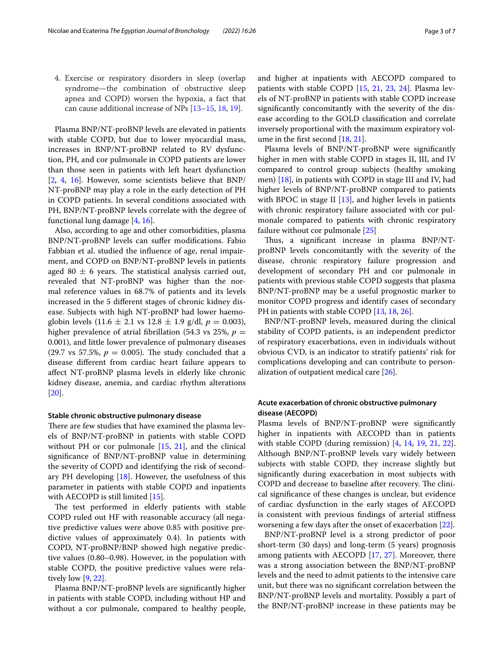4. Exercise or respiratory disorders in sleep (overlap syndrome—the combination of obstructive sleep apnea and COPD) worsen the hypoxia, a fact that can cause additional increase of NPs [[13–](#page-5-10)[15](#page-5-11), [18](#page-5-14), [19](#page-5-15)].

Plasma BNP/NT-proBNP levels are elevated in patients with stable COPD, but due to lower myocardial mass, increases in BNP/NT-proBNP related to RV dysfunction, PH, and cor pulmonale in COPD patients are lower than those seen in patients with left heart dysfunction [[2,](#page-5-16) [4](#page-5-2), [16](#page-5-12)]. However, some scientists believe that BNP/ NT-proBNP may play a role in the early detection of PH in COPD patients. In several conditions associated with PH, BNP/NT-proBNP levels correlate with the degree of functional lung damage [\[4](#page-5-2), [16\]](#page-5-12).

Also, according to age and other comorbidities, plasma BNP/NT-proBNP levels can sufer modifcations. Fabio Fabbian et al. studied the infuence of age, renal impairment, and COPD on BNP/NT-proBNP levels in patients aged 80  $\pm$  6 years. The statistical analysis carried out, revealed that NT-proBNP was higher than the normal reference values in 68.7% of patients and its levels increased in the 5 diferent stages of chronic kidney disease. Subjects with high NT-proBNP had lower haemoglobin levels  $(11.6 \pm 2.1 \text{ vs } 12.8 \pm 1.9 \text{ g/dl}, p = 0.003)$ , higher prevalence of atrial fibrillation (54.3 vs 25%,  $p =$ 0.001), and little lower prevalence of pulmonary diseases (29.7 vs 57.5%,  $p = 0.005$ ). The study concluded that a disease diferent from cardiac heart failure appears to afect NT-proBNP plasma levels in elderly like chronic kidney disease, anemia, and cardiac rhythm alterations [[20\]](#page-5-17).

#### **Stable chronic obstructive pulmonary disease**

There are few studies that have examined the plasma levels of BNP/NT-proBNP in patients with stable COPD without PH or cor pulmonale [\[15,](#page-5-11) [21\]](#page-5-18), and the clinical signifcance of BNP/NT-proBNP value in determining the severity of COPD and identifying the risk of secondary PH developing  $[18]$ . However, the usefulness of this parameter in patients with stable COPD and inpatients with AECOPD is still limited [[15\]](#page-5-11).

The test performed in elderly patients with stable COPD ruled out HF with reasonable accuracy (all negative predictive values were above 0.85 with positive predictive values of approximately 0.4). In patients with COPD, NT-proBNP/BNP showed high negative predictive values (0.80–0.98). However, in the population with stable COPD, the positive predictive values were relatively low [[9,](#page-5-6) [22](#page-5-19)].

Plasma BNP/NT-proBNP levels are signifcantly higher in patients with stable COPD, including without HP and without a cor pulmonale, compared to healthy people, and higher at inpatients with AECOPD compared to patients with stable COPD [\[15](#page-5-11), [21,](#page-5-18) [23,](#page-5-20) [24](#page-6-0)]. Plasma levels of NT-proBNP in patients with stable COPD increase signifcantly concomitantly with the severity of the disease according to the GOLD classifcation and correlate inversely proportional with the maximum expiratory volume in the frst second [\[18](#page-5-14), [21\]](#page-5-18).

Plasma levels of BNP/NT-proBNP were signifcantly higher in men with stable COPD in stages II, III, and IV compared to control group subjects (healthy smoking men) [[18\]](#page-5-14), in patients with COPD in stage III and IV, had higher levels of BNP/NT-proBNP compared to patients with BPOC in stage II  $[13]$  $[13]$ , and higher levels in patients with chronic respiratory failure associated with cor pulmonale compared to patients with chronic respiratory failure without cor pulmonale [[25\]](#page-6-1)

Thus, a significant increase in plasma BNP/NTproBNP levels concomitantly with the severity of the disease, chronic respiratory failure progression and development of secondary PH and cor pulmonale in patients with previous stable COPD suggests that plasma BNP/NT-proBNP may be a useful prognostic marker to monitor COPD progress and identify cases of secondary PH in patients with stable COPD [[13,](#page-5-10) [18,](#page-5-14) [26](#page-6-2)].

BNP/NT-proBNP levels, measured during the clinical stability of COPD patients, is an independent predictor of respiratory exacerbations, even in individuals without obvious CVD, is an indicator to stratify patients' risk for complications developing and can contribute to personalization of outpatient medical care [\[26](#page-6-2)].

# **Acute exacerbation of chronic obstructive pulmonary disease (AECOPD)**

Plasma levels of BNP/NT-proBNP were signifcantly higher in inpatients with AECOPD than in patients with stable COPD (during remission) [[4,](#page-5-2) [14](#page-5-21), [19](#page-5-15), [21,](#page-5-18) [22](#page-5-19)]. Although BNP/NT-proBNP levels vary widely between subjects with stable COPD, they increase slightly but signifcantly during exacerbation in most subjects with COPD and decrease to baseline after recovery. The clinical signifcance of these changes is unclear, but evidence of cardiac dysfunction in the early stages of AECOPD is consistent with previous fndings of arterial stifness worsening a few days after the onset of exacerbation [\[22](#page-5-19)].

BNP/NT-proBNP level is a strong predictor of poor short-term (30 days) and long-term (5 years) prognosis among patients with AECOPD [[17,](#page-5-13) [27\]](#page-6-3). Moreover, there was a strong association between the BNP/NT-proBNP levels and the need to admit patients to the intensive care unit, but there was no signifcant correlation between the BNP/NT-proBNP levels and mortality. Possibly a part of the BNP/NT-proBNP increase in these patients may be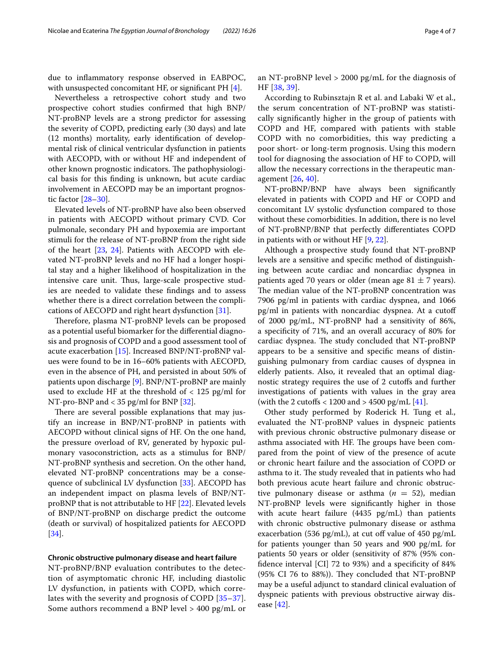due to infammatory response observed in EABPOC, with unsuspected concomitant HF, or significant  $PH[4]$  $PH[4]$ .

Nevertheless a retrospective cohort study and two prospective cohort studies confrmed that high BNP/ NT-proBNP levels are a strong predictor for assessing the severity of COPD, predicting early (30 days) and late (12 months) mortality, early identifcation of developmental risk of clinical ventricular dysfunction in patients with AECOPD, with or without HF and independent of other known prognostic indicators. The pathophysiological basis for this fnding is unknown, but acute cardiac involvement in AECOPD may be an important prognostic factor [[28–](#page-6-4)[30](#page-6-5)].

Elevated levels of NT-proBNP have also been observed in patients with AECOPD without primary CVD. Cor pulmonale, secondary PH and hypoxemia are important stimuli for the release of NT-proBNP from the right side of the heart [[23,](#page-5-20) [24\]](#page-6-0). Patients with AECOPD with elevated NT-proBNP levels and no HF had a longer hospital stay and a higher likelihood of hospitalization in the intensive care unit. Thus, large-scale prospective studies are needed to validate these fndings and to assess whether there is a direct correlation between the complications of AECOPD and right heart dysfunction [\[31\]](#page-6-6).

Therefore, plasma NT-proBNP levels can be proposed as a potential useful biomarker for the diferential diagnosis and prognosis of COPD and a good assessment tool of acute exacerbation [\[15](#page-5-11)]. Increased BNP/NT-proBNP values were found to be in 16–60% patients with AECOPD, even in the absence of PH, and persisted in about 50% of patients upon discharge [[9](#page-5-6)]. BNP/NT-proBNP are mainly used to exclude HF at the threshold of  $\langle 125 \text{ pg/ml} \rangle$  for NT-pro-BNP and < 35 pg/ml for BNP [[32\]](#page-6-7).

There are several possible explanations that may justify an increase in BNP/NT-proBNP in patients with AECOPD without clinical signs of HF. On the one hand, the pressure overload of RV, generated by hypoxic pulmonary vasoconstriction, acts as a stimulus for BNP/ NT-proBNP synthesis and secretion. On the other hand, elevated NT-proBNP concentrations may be a consequence of subclinical LV dysfunction [[33\]](#page-6-8). AECOPD has an independent impact on plasma levels of BNP/NTproBNP that is not attributable to HF [[22](#page-5-19)]. Elevated levels of BNP/NT-proBNP on discharge predict the outcome (death or survival) of hospitalized patients for AECOPD [[34\]](#page-6-9).

## **Chronic obstructive pulmonary disease and heart failure**

NT-proBNP/BNP evaluation contributes to the detection of asymptomatic chronic HF, including diastolic LV dysfunction, in patients with COPD, which correlates with the severity and prognosis of COPD [[35–](#page-6-10)[37\]](#page-6-11). Some authors recommend a BNP level > 400 pg/mL or an NT-proBNP level > 2000 pg/mL for the diagnosis of HF [[38,](#page-6-12) [39\]](#page-6-13).

According to Rubinsztajn R et al. and Labaki W et al., the serum concentration of NT-proBNP was statistically signifcantly higher in the group of patients with COPD and HF, compared with patients with stable COPD with no comorbidities, this way predicting a poor short- or long-term prognosis. Using this modern tool for diagnosing the association of HF to COPD, will allow the necessary corrections in the therapeutic management [\[26](#page-6-2), [40](#page-6-14)].

NT-proBNP/BNP have always been signifcantly elevated in patients with COPD and HF or COPD and concomitant LV systolic dysfunction compared to those without these comorbidities. In addition, there is no level of NT-proBNP/BNP that perfectly diferentiates COPD in patients with or without HF [\[9](#page-5-6), [22\]](#page-5-19).

Although a prospective study found that NT-proBNP levels are a sensitive and specifc method of distinguishing between acute cardiac and noncardiac dyspnea in patients aged 70 years or older (mean age 81  $\pm$  7 years). The median value of the NT-proBNP concentration was 7906 pg/ml in patients with cardiac dyspnea, and 1066 pg/ml in patients with noncardiac dyspnea. At a cutof of 2000 pg/mL, NT-proBNP had a sensitivity of 86%, a specifcity of 71%, and an overall accuracy of 80% for cardiac dyspnea. The study concluded that NT-proBNP appears to be a sensitive and specifc means of distinguishing pulmonary from cardiac causes of dyspnea in elderly patients. Also, it revealed that an optimal diagnostic strategy requires the use of 2 cutofs and further investigations of patients with values in the gray area (with the 2 cutoffs  $< 1200$  and  $> 4500$  pg/mL  $[41]$  $[41]$ .

Other study performed by Roderick H. Tung et al., evaluated the NT-proBNP values in dyspneic patients with previous chronic obstructive pulmonary disease or asthma associated with HF. The groups have been compared from the point of view of the presence of acute or chronic heart failure and the association of COPD or asthma to it. The study revealed that in patients who had both previous acute heart failure and chronic obstructive pulmonary disease or asthma (*n* = 52), median NT-proBNP levels were signifcantly higher in those with acute heart failure (4435 pg/mL) than patients with chronic obstructive pulmonary disease or asthma exacerbation (536 pg/mL), at cut off value of 450 pg/mL for patients younger than 50 years and 900 pg/mL for patients 50 years or older (sensitivity of 87% (95% confdence interval [CI] 72 to 93%) and a specifcity of 84%  $(95\% \text{ CI } 76 \text{ to } 88\%)$ . They concluded that NT-proBNP may be a useful adjunct to standard clinical evaluation of dyspneic patients with previous obstructive airway disease [[42](#page-6-16)].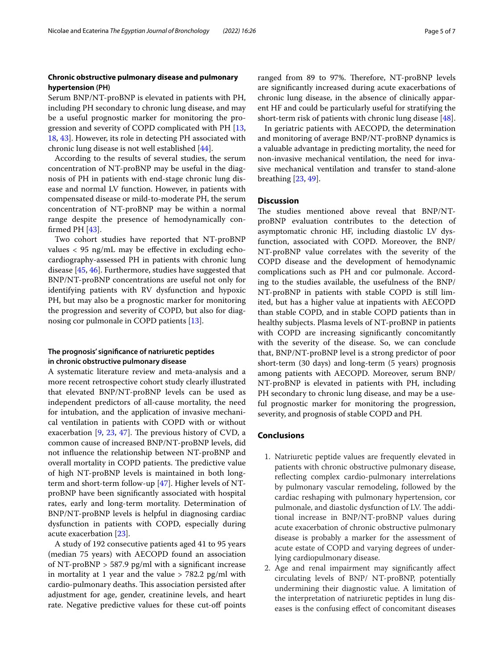# **Chronic obstructive pulmonary disease and pulmonary hypertension (PH)**

Serum BNP/NT-proBNP is elevated in patients with PH, including PH secondary to chronic lung disease, and may be a useful prognostic marker for monitoring the progression and severity of COPD complicated with PH [\[13](#page-5-10), [18,](#page-5-14) [43](#page-6-17)]. However, its role in detecting PH associated with chronic lung disease is not well established [[44](#page-6-18)].

According to the results of several studies, the serum concentration of NT-proBNP may be useful in the diagnosis of PH in patients with end-stage chronic lung disease and normal LV function. However, in patients with compensated disease or mild-to-moderate PH, the serum concentration of NT-proBNP may be within a normal range despite the presence of hemodynamically confrmed PH [[43\]](#page-6-17).

Two cohort studies have reported that NT-proBNP values  $<$  95 ng/mL may be effective in excluding echocardiography-assessed PH in patients with chronic lung disease [\[45](#page-6-19), [46\]](#page-6-20). Furthermore, studies have suggested that BNP/NT-proBNP concentrations are useful not only for identifying patients with RV dysfunction and hypoxic PH, but may also be a prognostic marker for monitoring the progression and severity of COPD, but also for diagnosing cor pulmonale in COPD patients [[13](#page-5-10)].

# **The prognosis' signifcance of natriuretic peptides in chronic obstructive pulmonary disease**

A systematic literature review and meta-analysis and a more recent retrospective cohort study clearly illustrated that elevated BNP/NT-proBNP levels can be used as independent predictors of all-cause mortality, the need for intubation, and the application of invasive mechanical ventilation in patients with COPD with or without exacerbation  $[9, 23, 47]$  $[9, 23, 47]$  $[9, 23, 47]$  $[9, 23, 47]$  $[9, 23, 47]$ . The previous history of CVD, a common cause of increased BNP/NT-proBNP levels, did not infuence the relationship between NT-proBNP and overall mortality in COPD patients. The predictive value of high NT-proBNP levels is maintained in both longterm and short-term follow-up [[47\]](#page-6-21). Higher levels of NTproBNP have been signifcantly associated with hospital rates, early and long-term mortality. Determination of BNP/NT-proBNP levels is helpful in diagnosing cardiac dysfunction in patients with COPD, especially during acute exacerbation [[23\]](#page-5-20).

A study of 192 consecutive patients aged 41 to 95 years (median 75 years) with AECOPD found an association of NT-proBNP  $>$  587.9 pg/ml with a significant increase in mortality at 1 year and the value  $> 782.2$  pg/ml with cardio-pulmonary deaths. This association persisted after adjustment for age, gender, creatinine levels, and heart rate. Negative predictive values for these cut-off points ranged from 89 to 97%. Therefore, NT-proBNP levels are signifcantly increased during acute exacerbations of chronic lung disease, in the absence of clinically apparent HF and could be particularly useful for stratifying the short-term risk of patients with chronic lung disease [\[48](#page-6-22)].

In geriatric patients with AECOPD, the determination and monitoring of average BNP/NT-proBNP dynamics is a valuable advantage in predicting mortality, the need for non-invasive mechanical ventilation, the need for invasive mechanical ventilation and transfer to stand-alone breathing [\[23](#page-5-20), [49\]](#page-6-23).

# **Discussion**

The studies mentioned above reveal that BNP/NTproBNP evaluation contributes to the detection of asymptomatic chronic HF, including diastolic LV dysfunction, associated with COPD. Moreover, the BNP/ NT-proBNP value correlates with the severity of the COPD disease and the development of hemodynamic complications such as PH and cor pulmonale. According to the studies available, the usefulness of the BNP/ NT-proBNP in patients with stable COPD is still limited, but has a higher value at inpatients with AECOPD than stable COPD, and in stable COPD patients than in healthy subjects. Plasma levels of NT-proBNP in patients with COPD are increasing signifcantly concomitantly with the severity of the disease. So, we can conclude that, BNP/NT-proBNP level is a strong predictor of poor short-term (30 days) and long-term (5 years) prognosis among patients with AECOPD. Moreover, serum BNP/ NT-proBNP is elevated in patients with PH, including PH secondary to chronic lung disease, and may be a useful prognostic marker for monitoring the progression, severity, and prognosis of stable COPD and PH.

# **Conclusions**

- 1. Natriuretic peptide values are frequently elevated in patients with chronic obstructive pulmonary disease, reflecting complex cardio-pulmonary interrelations by pulmonary vascular remodeling, followed by the cardiac reshaping with pulmonary hypertension, cor pulmonale, and diastolic dysfunction of LV. The additional increase in BNP/NT-proBNP values during acute exacerbation of chronic obstructive pulmonary disease is probably a marker for the assessment of acute estate of COPD and varying degrees of underlying cardiopulmonary disease.
- 2. Age and renal impairment may signifcantly afect circulating levels of BNP/ NT-proBNP, potentially undermining their diagnostic value. A limitation of the interpretation of natriuretic peptides in lung diseases is the confusing efect of concomitant diseases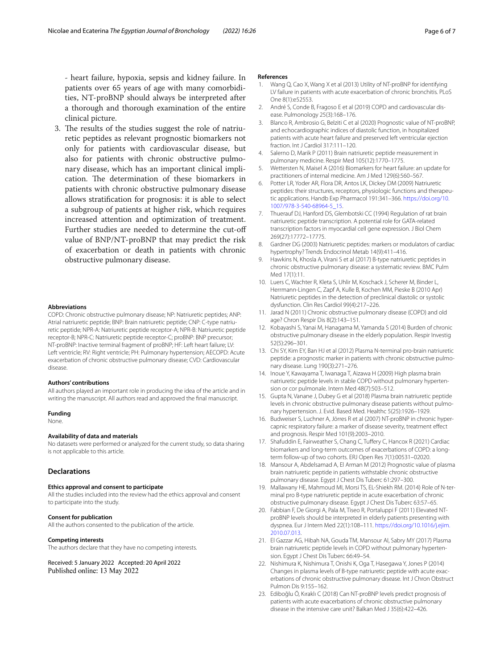3. The results of the studies suggest the role of natriuretic peptides as relevant prognostic biomarkers not only for patients with cardiovascular disease, but also for patients with chronic obstructive pulmonary disease, which has an important clinical implication. The determination of these biomarkers in patients with chronic obstructive pulmonary disease allows stratifcation for prognosis: it is able to select a subgroup of patients at higher risk, which requires increased attention and optimization of treatment. Further studies are needed to determine the cut-of value of BNP/NT-proBNP that may predict the risk of exacerbation or death in patients with chronic obstructive pulmonary disease.

#### **Abbreviations**

COPD: Chronic obstructive pulmonary disease; NP: Natriuretic peptides; ANP: Atrial natriuretic peptide; BNP: Brain natriuretic peptide; CNP: C-type natriuretic peptide; NPR-A: Natriuretic peptide receptor-A; NPR-B: Natriuretic peptide receptor-B; NPR-C: Natriuretic peptide receptor-C; proBNP: BNP precursor; NT-proBNP: Inactive terminal fragment of proBNP; HF: Left heart failure; LV: Left ventricle; RV: Right ventricle; PH: Pulmonary hypertension; AECOPD: Acute exacerbation of chronic obstructive pulmonary disease; CVD: Cardiovascular disease.

#### **Authors' contributions**

All authors played an important role in producing the idea of the article and in writing the manuscript. All authors read and approved the fnal manuscript.

#### **Funding**

None.

### **Availability of data and materials**

No datasets were performed or analyzed for the current study, so data sharing is not applicable to this article.

# **Declarations**

#### **Ethics approval and consent to participate**

All the studies included into the review had the ethics approval and consent to participate into the study.

#### **Consent for publication**

All the authors consented to the publication of the article.

#### **Competing interests**

The authors declare that they have no competing interests.

Received: 5 January 2022 Accepted: 20 April 2022 Published online: 13 May 2022

#### **References**

- <span id="page-5-0"></span>1. Wang Q, Cao X, Wang X et al (2013) Utility of NT-proBNP for identifying LV failure in patients with acute exacerbation of chronic bronchitis. PLoS One 8(1):e52553.
- <span id="page-5-16"></span>2. André S, Conde B, Fragoso E et al (2019) COPD and cardiovascular disease. Pulmonology 25(3):168–176.
- 3. Blanco R, Ambrosio G, Belziti C et al (2020) Prognostic value of NT-proBNP, and echocardiographic indices of diastolic function, in hospitalized patients with acute heart failure and preserved left ventricular ejection fraction. Int I Cardiol 317:111-120.
- <span id="page-5-2"></span>4. Salerno D, Marik P (2011) Brain natriuretic peptide measurement in pulmonary medicine. Respir Med 105(12):1770–1775.
- <span id="page-5-1"></span>5. Wettersten N, Maisel A (2016) Biomarkers for heart failure: an update for practitioners of internal medicine. Am J Med 129(6):560–567.
- <span id="page-5-3"></span>6. Potter LR, Yoder AR, Flora DR, Antos LK, Dickey DM (2009) Natriuretic peptides: their structures, receptors, physiologic functions and therapeutic applications. Handb Exp Pharmacol 191:341–366. [https://doi.org/10.](https://doi.org/10.1007/978-3-540-68964-5_15) [1007/978-3-540-68964-5\\_15.](https://doi.org/10.1007/978-3-540-68964-5_15)
- <span id="page-5-4"></span>7. Thuerauf DJ, Hanford DS, Glembotski CC (1994) Regulation of rat brain natriuretic peptide transcription. A potential role for GATA-related transcription factors in myocardial cell gene expression. J Biol Chem 269(27):17772–17775.
- <span id="page-5-5"></span>8. Gardner DG (2003) Natriuretic peptides: markers or modulators of cardiac hypertrophy? Trends Endocrinol Metab 14(9):411–416.
- <span id="page-5-6"></span>9. Hawkins N, Khosla A, Virani S et al (2017) B-type natriuretic peptides in chronic obstructive pulmonary disease: a systematic review. BMC Pulm Med 17(1):11.
- <span id="page-5-7"></span>10. Luers C, Wachter R, Kleta S, Uhlir M, Koschack J, Scherer M, Binder L, Herrmann-Lingen C, Zapf A, Kulle B, Kochen MM, Pieske B (2010 Apr) Natriuretic peptides in the detection of preclinical diastolic or systolic dysfunction. Clin Res Cardiol 99(4):217–226.
- <span id="page-5-8"></span>11. Jarad N (2011) Chronic obstructive pulmonary disease (COPD) and old age? Chron Respir Dis 8(2):143–151.
- <span id="page-5-9"></span>12. Kobayashi S, Yanai M, Hanagama M, Yamanda S (2014) Burden of chronic obstructive pulmonary disease in the elderly population. Respir Investig 52(5):296–301.
- <span id="page-5-10"></span>13. Chi SY, Kim EY, Ban HJ et al (2012) Plasma N-terminal pro-brain natriuretic peptide: a prognostic marker in patients with chronic obstructive pulmonary disease. Lung 190(3):271–276.
- <span id="page-5-21"></span>14. Inoue Y, Kawayama T, Iwanaga T, Aizawa H (2009) High plasma brain natriuretic peptide levels in stable COPD without pulmonary hypertension or cor pulmonale. Intern Med 48(7):503–512.
- <span id="page-5-11"></span>15. Gupta N, Vanane J, Dubey G et al (2018) Plasma brain natriuretic peptide levels in chronic obstructive pulmonary disease patients without pulmonary hypertension. J. Evid. Based Med. Healthc 5(25):1926–1929.
- <span id="page-5-12"></span>16. Budweiser S, Luchner A, Jörres R et al (2007) NT-proBNP in chronic hypercapnic respiratory failure: a marker of disease severity, treatment efect and prognosis. Respir Med 101(9):2003–2010.
- <span id="page-5-13"></span>17. Shafuddin E, Fairweather S, Chang C, Tufery C, Hancox R (2021) Cardiac biomarkers and long-term outcomes of exacerbations of COPD: a longterm follow-up of two cohorts. ERJ Open Res 7(1):00531–02020.
- <span id="page-5-14"></span>18. Mansour A, Abdelsamad A, El Arman M (2012) Prognostic value of plasma brain natriuretic peptide in patients withstable chronic obstructive pulmonary disease. Egypt J Chest Dis Tuberc 61:297–300.
- <span id="page-5-15"></span>19. Mallawany HE, Mahmoud MI, Morsi TS, EL-Shiekh RM. (2014) Role of N-terminal pro B-type natriuretic peptide in acute exacerbation of chronic obstructive pulmonary disease. Egypt J Chest Dis Tuberc 63:57–65.
- <span id="page-5-17"></span>20. Fabbian F, De Giorgi A, Pala M, Tiseo R, Portaluppi F (2011) Elevated NTproBNP levels should be interpreted in elderly patients presenting with dyspnea. Eur J Intern Med 22(1):108–111. [https://doi.org/10.1016/j.ejim.](https://doi.org/10.1016/j.ejim.2010.07.013) [2010.07.013](https://doi.org/10.1016/j.ejim.2010.07.013).
- <span id="page-5-18"></span>21. El Gazzar AG, Hibah NA, Gouda TM, Mansour AI, Sabry MY (2017) Plasma brain natriuretic peptide levels in COPD without pulmonary hypertension. Egypt J Chest Dis Tuberc 66:49–54.
- <span id="page-5-19"></span>22. Nishimura K, Nishimura T, Onishi K, Oga T, Hasegawa Y, Jones P (2014) Changes in plasma levels of B-type natriuretic peptide with acute exacerbations of chronic obstructive pulmonary disease. Int J Chron Obstruct Pulmon Dis 9:155–162.
- <span id="page-5-20"></span>23. Ediboğlu Ö, Kıraklı C (2018) Can NT-proBNP levels predict prognosis of patients with acute exacerbations of chronic obstructive pulmonary disease in the intensive care unit? Balkan Med J 35(6):422–426.